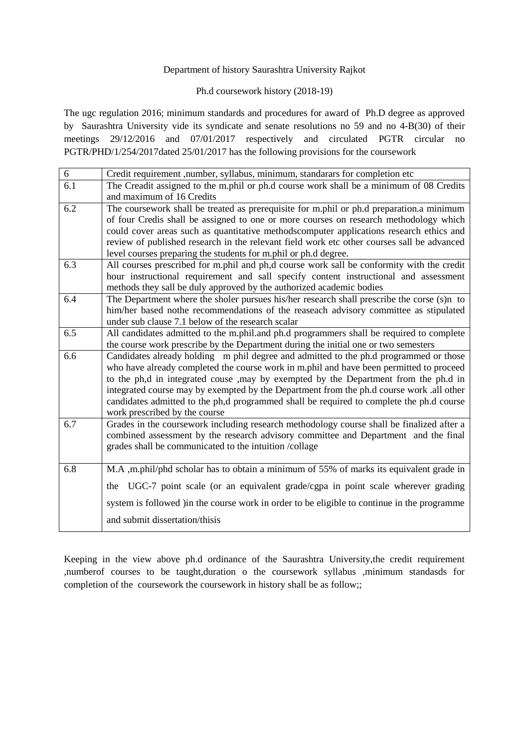#### Department of history Saurashtra University Rajkot

#### Ph.d coursework history (2018-19)

The ugc regulation 2016; minimum standards and procedures for award of Ph.D degree as approved by Saurashtra University vide its syndicate and senate resolutions no 59 and no 4-B(30) of their meetings 29/12/2016 and 07/01/2017 respectively and circulated PGTR circular no PGTR/PHD/1/254/2017dated 25/01/2017 has the following provisions for the coursework

| 6   | Credit requirement ,number, syllabus, minimum, standarars for completion etc                 |  |  |  |
|-----|----------------------------------------------------------------------------------------------|--|--|--|
| 6.1 | The Creadit assigned to the m.phil or ph.d course work shall be a minimum of 08 Credits      |  |  |  |
|     | and maximum of 16 Credits                                                                    |  |  |  |
| 6.2 | The coursework shall be treated as prerequisite for m.phil or ph.d preparation.a minimum     |  |  |  |
|     | of four Credis shall be assigned to one or more courses on research methodology which        |  |  |  |
|     | could cover areas such as quantitative methodscomputer applications research ethics and      |  |  |  |
|     | review of published research in the relevant field work etc other courses sall be advanced   |  |  |  |
|     | level courses preparing the students for m.phil or ph.d degree.                              |  |  |  |
| 6.3 | All courses prescribed for m.phil and ph,d course work sall be conformity with the credit    |  |  |  |
|     | hour instructional requirement and sall specify content instructional and assessment         |  |  |  |
|     | methods they sall be duly approved by the authorized academic bodies                         |  |  |  |
| 6.4 | The Department where the sholer pursues his/her research shall prescribe the corse (s)n to   |  |  |  |
|     | him/her based nothe recommendations of the reaseach advisory committee as stipulated         |  |  |  |
|     | under sub clause 7.1 below of the research scalar                                            |  |  |  |
| 6.5 | All candidates admitted to the m.phil.and ph.d programmers shall be required to complete     |  |  |  |
|     | the course work prescribe by the Department during the initial one or two semesters          |  |  |  |
| 6.6 | Candidates already holding m phil degree and admitted to the ph.d programmed or those        |  |  |  |
|     | who have already completed the course work in m.phil and have been permitted to proceed      |  |  |  |
|     | to the ph,d in integrated couse , may by exempted by the Department from the ph.d in         |  |  |  |
|     | integrated course may by exempted by the Department from the ph.d course work .all other     |  |  |  |
|     | candidates admitted to the ph,d programmed shall be required to complete the ph.d course     |  |  |  |
|     | work prescribed by the course                                                                |  |  |  |
| 6.7 | Grades in the coursework including research methodology course shall be finalized after a    |  |  |  |
|     | combined assessment by the research advisory committee and Department and the final          |  |  |  |
|     | grades shall be communicated to the intuition /collage                                       |  |  |  |
|     |                                                                                              |  |  |  |
| 6.8 | M.A ,m.phil/phd scholar has to obtain a minimum of 55% of marks its equivalent grade in      |  |  |  |
|     | UGC-7 point scale (or an equivalent grade/cgpa in point scale wherever grading<br>the        |  |  |  |
|     | system is followed ) in the course work in order to be eligible to continue in the programme |  |  |  |
|     | and submit dissertation/thisis                                                               |  |  |  |
|     |                                                                                              |  |  |  |

Keeping in the view above ph.d ordinance of the Saurashtra University,the credit requirement ,numberof courses to be taught,duration o the coursework syllabus ,minimum standasds for completion of the coursework the coursework in history shall be as follow;;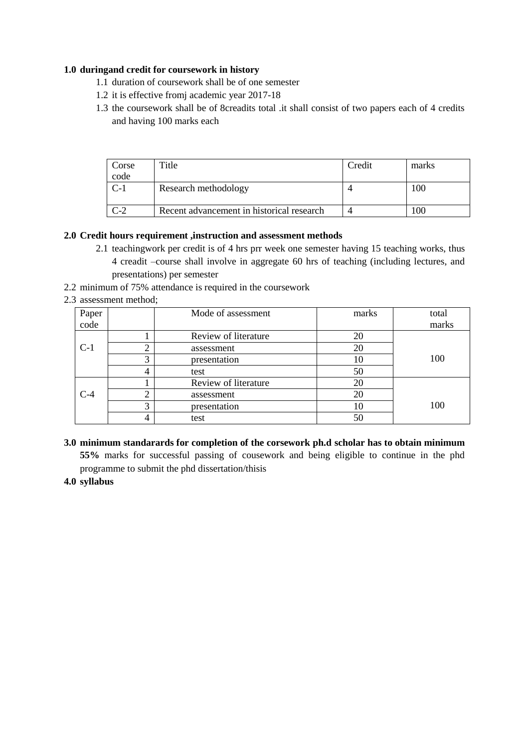### **1.0 duringand credit for coursework in history**

- 1.1 duration of coursework shall be of one semester
- 1.2 it is effective fromj academic year 2017-18
- 1.3 the coursework shall be of 8creadits total .it shall consist of two papers each of 4 credits and having 100 marks each

| Corse | Title                                     | Credit | marks |
|-------|-------------------------------------------|--------|-------|
| code  |                                           |        |       |
| C-1   | Research methodology                      |        | 100   |
|       | Recent advancement in historical research |        | .00   |

### **2.0 Credit hours requirement ,instruction and assessment methods**

- 2.1 teachingwork per credit is of 4 hrs prr week one semester having 15 teaching works, thus 4 creadit –course shall involve in aggregate 60 hrs of teaching (including lectures, and presentations) per semester
- 2.2 minimum of 75% attendance is required in the coursework

### 2.3 assessment method;

| Paper |   | Mode of assessment   | marks | total |
|-------|---|----------------------|-------|-------|
| code  |   |                      |       | marks |
|       |   | Review of literature | 20    |       |
| $C-1$ | ⌒ | assessment           | 20    |       |
|       | 3 | presentation         | 10    | 100   |
|       | 4 | test                 | 50    |       |
|       |   | Review of literature | 20    |       |
| $C-4$ | ◠ | assessment           | 20    |       |
|       | 3 | presentation         | 10    | 100   |
|       | 4 | test                 | 50    |       |

**3.0 minimum standarards for completion of the corsework ph.d scholar has to obtain minimum 55%** marks for successful passing of cousework and being eligible to continue in the phd programme to submit the phd dissertation/thisis

### **4.0 syllabus**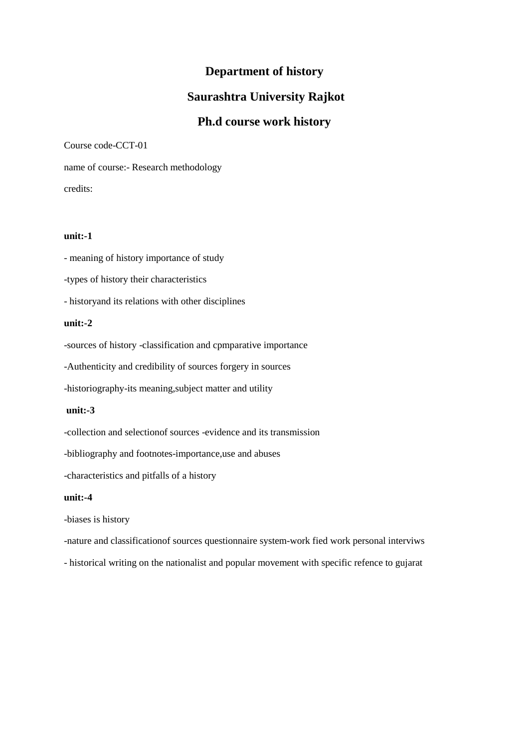# **Department of history**

# **Saurashtra University Rajkot**

# **Ph.d course work history**

Course code-CCT-01

name of course:- Research methodology credits:

#### **unit:-1**

- meaning of history importance of study

-types of history their characteristics

- historyand its relations with other disciplines

#### **unit:-2**

-sources of history -classification and cpmparative importance

-Authenticity and credibility of sources forgery in sources

-historiography-its meaning,subject matter and utility

#### **unit:-3**

-collection and selectionof sources -evidence and its transmission

-bibliography and footnotes-importance,use and abuses

-characteristics and pitfalls of a history

#### **unit:-4**

-biases is history

-nature and classificationof sources questionnaire system-work fied work personal interviws

- historical writing on the nationalist and popular movement with specific refence to gujarat